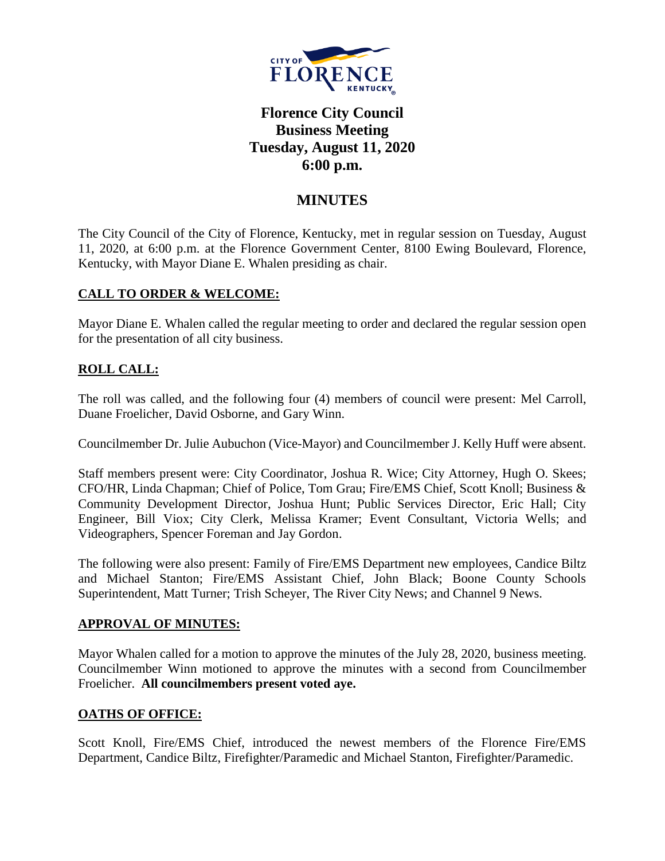

# **Florence City Council Business Meeting Tuesday, August 11, 2020 6:00 p.m.**

## **MINUTES**

The City Council of the City of Florence, Kentucky, met in regular session on Tuesday, August 11, 2020, at 6:00 p.m. at the Florence Government Center, 8100 Ewing Boulevard, Florence, Kentucky, with Mayor Diane E. Whalen presiding as chair.

### **CALL TO ORDER & WELCOME:**

Mayor Diane E. Whalen called the regular meeting to order and declared the regular session open for the presentation of all city business.

## **ROLL CALL:**

The roll was called, and the following four (4) members of council were present: Mel Carroll, Duane Froelicher, David Osborne, and Gary Winn.

Councilmember Dr. Julie Aubuchon (Vice-Mayor) and Councilmember J. Kelly Huff were absent.

Staff members present were: City Coordinator, Joshua R. Wice; City Attorney, Hugh O. Skees; CFO/HR, Linda Chapman; Chief of Police, Tom Grau; Fire/EMS Chief, Scott Knoll; Business & Community Development Director, Joshua Hunt; Public Services Director, Eric Hall; City Engineer, Bill Viox; City Clerk, Melissa Kramer; Event Consultant, Victoria Wells; and Videographers, Spencer Foreman and Jay Gordon.

The following were also present: Family of Fire/EMS Department new employees, Candice Biltz and Michael Stanton; Fire/EMS Assistant Chief, John Black; Boone County Schools Superintendent, Matt Turner; Trish Scheyer, The River City News; and Channel 9 News.

### **APPROVAL OF MINUTES:**

Mayor Whalen called for a motion to approve the minutes of the July 28, 2020, business meeting. Councilmember Winn motioned to approve the minutes with a second from Councilmember Froelicher. **All councilmembers present voted aye.** 

### **OATHS OF OFFICE:**

Scott Knoll, Fire/EMS Chief, introduced the newest members of the Florence Fire/EMS Department, Candice Biltz, Firefighter/Paramedic and Michael Stanton, Firefighter/Paramedic.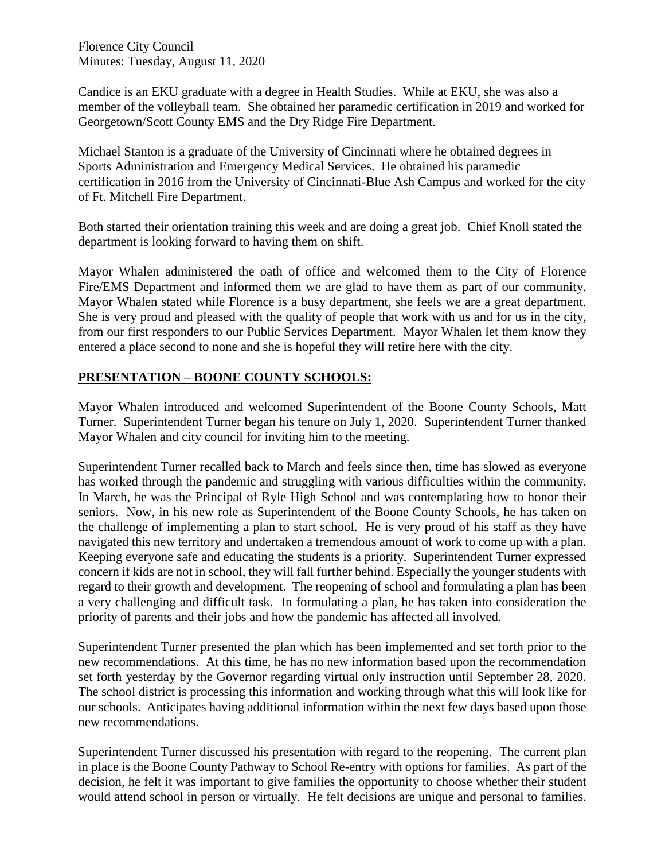Candice is an EKU graduate with a degree in Health Studies. While at EKU, she was also a member of the volleyball team. She obtained her paramedic certification in 2019 and worked for Georgetown/Scott County EMS and the Dry Ridge Fire Department.

Michael Stanton is a graduate of the University of Cincinnati where he obtained degrees in Sports Administration and Emergency Medical Services. He obtained his paramedic certification in 2016 from the University of Cincinnati-Blue Ash Campus and worked for the city of Ft. Mitchell Fire Department.

Both started their orientation training this week and are doing a great job. Chief Knoll stated the department is looking forward to having them on shift.

Mayor Whalen administered the oath of office and welcomed them to the City of Florence Fire/EMS Department and informed them we are glad to have them as part of our community. Mayor Whalen stated while Florence is a busy department, she feels we are a great department. She is very proud and pleased with the quality of people that work with us and for us in the city, from our first responders to our Public Services Department. Mayor Whalen let them know they entered a place second to none and she is hopeful they will retire here with the city.

### **PRESENTATION – BOONE COUNTY SCHOOLS:**

Mayor Whalen introduced and welcomed Superintendent of the Boone County Schools, Matt Turner. Superintendent Turner began his tenure on July 1, 2020. Superintendent Turner thanked Mayor Whalen and city council for inviting him to the meeting.

Superintendent Turner recalled back to March and feels since then, time has slowed as everyone has worked through the pandemic and struggling with various difficulties within the community. In March, he was the Principal of Ryle High School and was contemplating how to honor their seniors. Now, in his new role as Superintendent of the Boone County Schools, he has taken on the challenge of implementing a plan to start school. He is very proud of his staff as they have navigated this new territory and undertaken a tremendous amount of work to come up with a plan. Keeping everyone safe and educating the students is a priority. Superintendent Turner expressed concern if kids are not in school, they will fall further behind. Especially the younger students with regard to their growth and development. The reopening of school and formulating a plan has been a very challenging and difficult task. In formulating a plan, he has taken into consideration the priority of parents and their jobs and how the pandemic has affected all involved.

Superintendent Turner presented the plan which has been implemented and set forth prior to the new recommendations. At this time, he has no new information based upon the recommendation set forth yesterday by the Governor regarding virtual only instruction until September 28, 2020. The school district is processing this information and working through what this will look like for our schools. Anticipates having additional information within the next few days based upon those new recommendations.

Superintendent Turner discussed his presentation with regard to the reopening. The current plan in place is the Boone County Pathway to School Re-entry with options for families. As part of the decision, he felt it was important to give families the opportunity to choose whether their student would attend school in person or virtually. He felt decisions are unique and personal to families.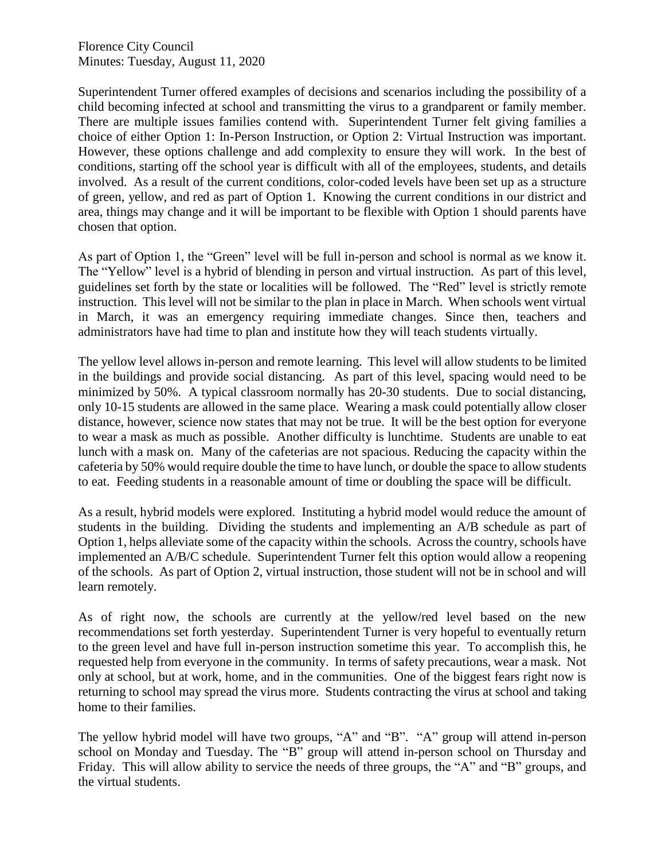Superintendent Turner offered examples of decisions and scenarios including the possibility of a child becoming infected at school and transmitting the virus to a grandparent or family member. There are multiple issues families contend with. Superintendent Turner felt giving families a choice of either Option 1: In-Person Instruction, or Option 2: Virtual Instruction was important. However, these options challenge and add complexity to ensure they will work. In the best of conditions, starting off the school year is difficult with all of the employees, students, and details involved. As a result of the current conditions, color-coded levels have been set up as a structure of green, yellow, and red as part of Option 1. Knowing the current conditions in our district and area, things may change and it will be important to be flexible with Option 1 should parents have chosen that option.

As part of Option 1, the "Green" level will be full in-person and school is normal as we know it. The "Yellow" level is a hybrid of blending in person and virtual instruction. As part of this level, guidelines set forth by the state or localities will be followed. The "Red" level is strictly remote instruction. This level will not be similar to the plan in place in March. When schools went virtual in March, it was an emergency requiring immediate changes. Since then, teachers and administrators have had time to plan and institute how they will teach students virtually.

The yellow level allows in-person and remote learning. This level will allow students to be limited in the buildings and provide social distancing. As part of this level, spacing would need to be minimized by 50%. A typical classroom normally has 20-30 students. Due to social distancing, only 10-15 students are allowed in the same place. Wearing a mask could potentially allow closer distance, however, science now states that may not be true. It will be the best option for everyone to wear a mask as much as possible. Another difficulty is lunchtime. Students are unable to eat lunch with a mask on. Many of the cafeterias are not spacious. Reducing the capacity within the cafeteria by 50% would require double the time to have lunch, or double the space to allow students to eat. Feeding students in a reasonable amount of time or doubling the space will be difficult.

As a result, hybrid models were explored. Instituting a hybrid model would reduce the amount of students in the building. Dividing the students and implementing an A/B schedule as part of Option 1, helps alleviate some of the capacity within the schools. Across the country, schools have implemented an A/B/C schedule. Superintendent Turner felt this option would allow a reopening of the schools. As part of Option 2, virtual instruction, those student will not be in school and will learn remotely.

As of right now, the schools are currently at the yellow/red level based on the new recommendations set forth yesterday. Superintendent Turner is very hopeful to eventually return to the green level and have full in-person instruction sometime this year. To accomplish this, he requested help from everyone in the community. In terms of safety precautions, wear a mask. Not only at school, but at work, home, and in the communities. One of the biggest fears right now is returning to school may spread the virus more. Students contracting the virus at school and taking home to their families.

The yellow hybrid model will have two groups, "A" and "B". "A" group will attend in-person school on Monday and Tuesday. The "B" group will attend in-person school on Thursday and Friday. This will allow ability to service the needs of three groups, the "A" and "B" groups, and the virtual students.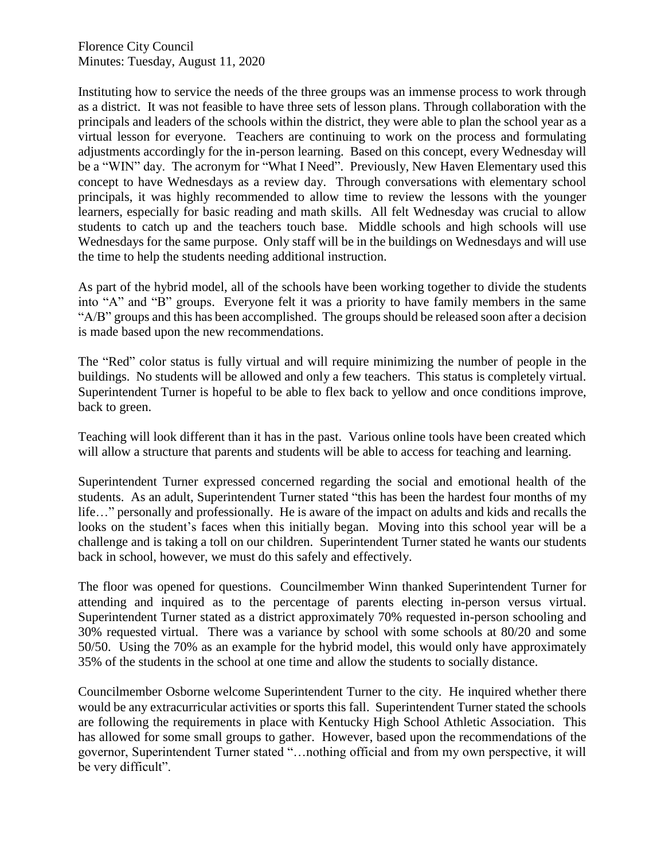Instituting how to service the needs of the three groups was an immense process to work through as a district. It was not feasible to have three sets of lesson plans. Through collaboration with the principals and leaders of the schools within the district, they were able to plan the school year as a virtual lesson for everyone. Teachers are continuing to work on the process and formulating adjustments accordingly for the in-person learning. Based on this concept, every Wednesday will be a "WIN" day. The acronym for "What I Need". Previously, New Haven Elementary used this concept to have Wednesdays as a review day. Through conversations with elementary school principals, it was highly recommended to allow time to review the lessons with the younger learners, especially for basic reading and math skills. All felt Wednesday was crucial to allow students to catch up and the teachers touch base. Middle schools and high schools will use Wednesdays for the same purpose. Only staff will be in the buildings on Wednesdays and will use the time to help the students needing additional instruction.

As part of the hybrid model, all of the schools have been working together to divide the students into "A" and "B" groups. Everyone felt it was a priority to have family members in the same "A/B" groups and this has been accomplished. The groups should be released soon after a decision is made based upon the new recommendations.

The "Red" color status is fully virtual and will require minimizing the number of people in the buildings. No students will be allowed and only a few teachers. This status is completely virtual. Superintendent Turner is hopeful to be able to flex back to yellow and once conditions improve, back to green.

Teaching will look different than it has in the past. Various online tools have been created which will allow a structure that parents and students will be able to access for teaching and learning.

Superintendent Turner expressed concerned regarding the social and emotional health of the students. As an adult, Superintendent Turner stated "this has been the hardest four months of my life…" personally and professionally. He is aware of the impact on adults and kids and recalls the looks on the student's faces when this initially began. Moving into this school year will be a challenge and is taking a toll on our children. Superintendent Turner stated he wants our students back in school, however, we must do this safely and effectively.

The floor was opened for questions. Councilmember Winn thanked Superintendent Turner for attending and inquired as to the percentage of parents electing in-person versus virtual. Superintendent Turner stated as a district approximately 70% requested in-person schooling and 30% requested virtual. There was a variance by school with some schools at 80/20 and some 50/50. Using the 70% as an example for the hybrid model, this would only have approximately 35% of the students in the school at one time and allow the students to socially distance.

Councilmember Osborne welcome Superintendent Turner to the city. He inquired whether there would be any extracurricular activities or sports this fall. Superintendent Turner stated the schools are following the requirements in place with Kentucky High School Athletic Association. This has allowed for some small groups to gather. However, based upon the recommendations of the governor, Superintendent Turner stated "…nothing official and from my own perspective, it will be very difficult".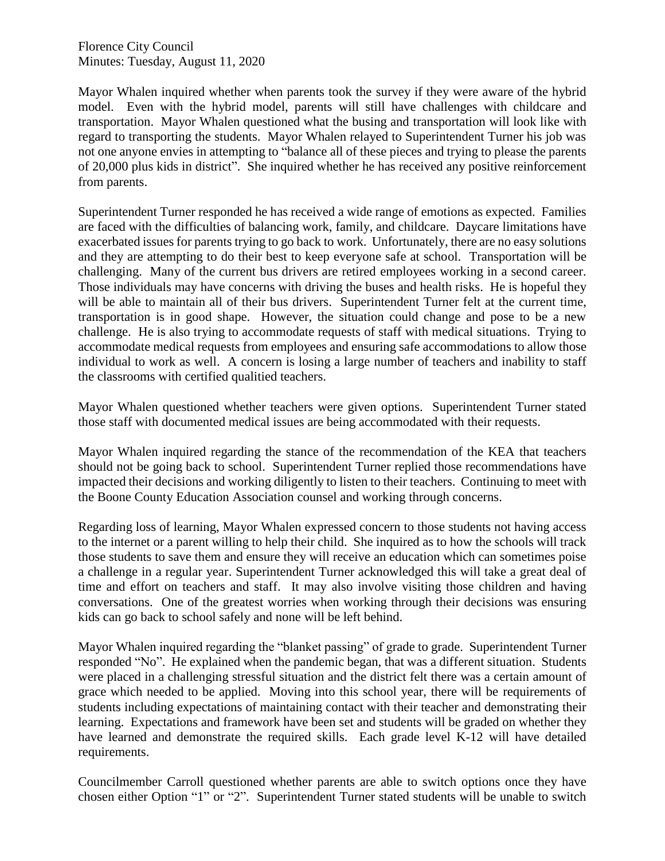Mayor Whalen inquired whether when parents took the survey if they were aware of the hybrid model. Even with the hybrid model, parents will still have challenges with childcare and transportation. Mayor Whalen questioned what the busing and transportation will look like with regard to transporting the students. Mayor Whalen relayed to Superintendent Turner his job was not one anyone envies in attempting to "balance all of these pieces and trying to please the parents of 20,000 plus kids in district". She inquired whether he has received any positive reinforcement from parents.

Superintendent Turner responded he has received a wide range of emotions as expected. Families are faced with the difficulties of balancing work, family, and childcare. Daycare limitations have exacerbated issues for parents trying to go back to work. Unfortunately, there are no easy solutions and they are attempting to do their best to keep everyone safe at school. Transportation will be challenging. Many of the current bus drivers are retired employees working in a second career. Those individuals may have concerns with driving the buses and health risks. He is hopeful they will be able to maintain all of their bus drivers. Superintendent Turner felt at the current time, transportation is in good shape. However, the situation could change and pose to be a new challenge. He is also trying to accommodate requests of staff with medical situations. Trying to accommodate medical requests from employees and ensuring safe accommodations to allow those individual to work as well. A concern is losing a large number of teachers and inability to staff the classrooms with certified qualitied teachers.

Mayor Whalen questioned whether teachers were given options. Superintendent Turner stated those staff with documented medical issues are being accommodated with their requests.

Mayor Whalen inquired regarding the stance of the recommendation of the KEA that teachers should not be going back to school. Superintendent Turner replied those recommendations have impacted their decisions and working diligently to listen to their teachers. Continuing to meet with the Boone County Education Association counsel and working through concerns.

Regarding loss of learning, Mayor Whalen expressed concern to those students not having access to the internet or a parent willing to help their child. She inquired as to how the schools will track those students to save them and ensure they will receive an education which can sometimes poise a challenge in a regular year. Superintendent Turner acknowledged this will take a great deal of time and effort on teachers and staff. It may also involve visiting those children and having conversations. One of the greatest worries when working through their decisions was ensuring kids can go back to school safely and none will be left behind.

Mayor Whalen inquired regarding the "blanket passing" of grade to grade. Superintendent Turner responded "No". He explained when the pandemic began, that was a different situation. Students were placed in a challenging stressful situation and the district felt there was a certain amount of grace which needed to be applied. Moving into this school year, there will be requirements of students including expectations of maintaining contact with their teacher and demonstrating their learning. Expectations and framework have been set and students will be graded on whether they have learned and demonstrate the required skills. Each grade level K-12 will have detailed requirements.

Councilmember Carroll questioned whether parents are able to switch options once they have chosen either Option "1" or "2". Superintendent Turner stated students will be unable to switch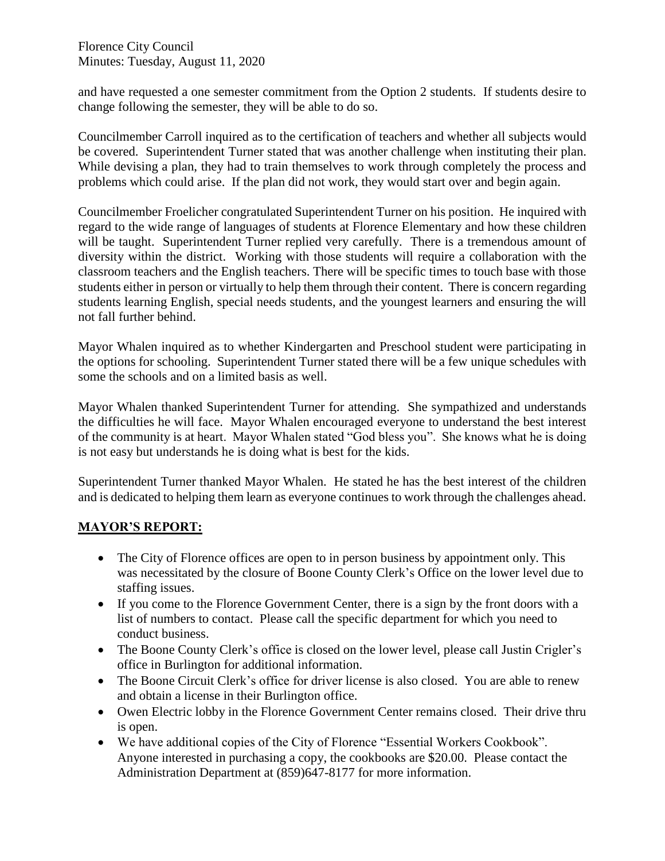and have requested a one semester commitment from the Option 2 students. If students desire to change following the semester, they will be able to do so.

Councilmember Carroll inquired as to the certification of teachers and whether all subjects would be covered. Superintendent Turner stated that was another challenge when instituting their plan. While devising a plan, they had to train themselves to work through completely the process and problems which could arise. If the plan did not work, they would start over and begin again.

Councilmember Froelicher congratulated Superintendent Turner on his position. He inquired with regard to the wide range of languages of students at Florence Elementary and how these children will be taught. Superintendent Turner replied very carefully. There is a tremendous amount of diversity within the district. Working with those students will require a collaboration with the classroom teachers and the English teachers. There will be specific times to touch base with those students either in person or virtually to help them through their content. There is concern regarding students learning English, special needs students, and the youngest learners and ensuring the will not fall further behind.

Mayor Whalen inquired as to whether Kindergarten and Preschool student were participating in the options for schooling. Superintendent Turner stated there will be a few unique schedules with some the schools and on a limited basis as well.

Mayor Whalen thanked Superintendent Turner for attending. She sympathized and understands the difficulties he will face. Mayor Whalen encouraged everyone to understand the best interest of the community is at heart. Mayor Whalen stated "God bless you". She knows what he is doing is not easy but understands he is doing what is best for the kids.

Superintendent Turner thanked Mayor Whalen. He stated he has the best interest of the children and is dedicated to helping them learn as everyone continues to work through the challenges ahead.

### **MAYOR'S REPORT:**

- The City of Florence offices are open to in person business by appointment only. This was necessitated by the closure of Boone County Clerk's Office on the lower level due to staffing issues.
- If you come to the Florence Government Center, there is a sign by the front doors with a list of numbers to contact. Please call the specific department for which you need to conduct business.
- The Boone County Clerk's office is closed on the lower level, please call Justin Crigler's office in Burlington for additional information.
- The Boone Circuit Clerk's office for driver license is also closed. You are able to renew and obtain a license in their Burlington office.
- Owen Electric lobby in the Florence Government Center remains closed. Their drive thru is open.
- We have additional copies of the City of Florence "Essential Workers Cookbook". Anyone interested in purchasing a copy, the cookbooks are \$20.00. Please contact the Administration Department at (859)647-8177 for more information.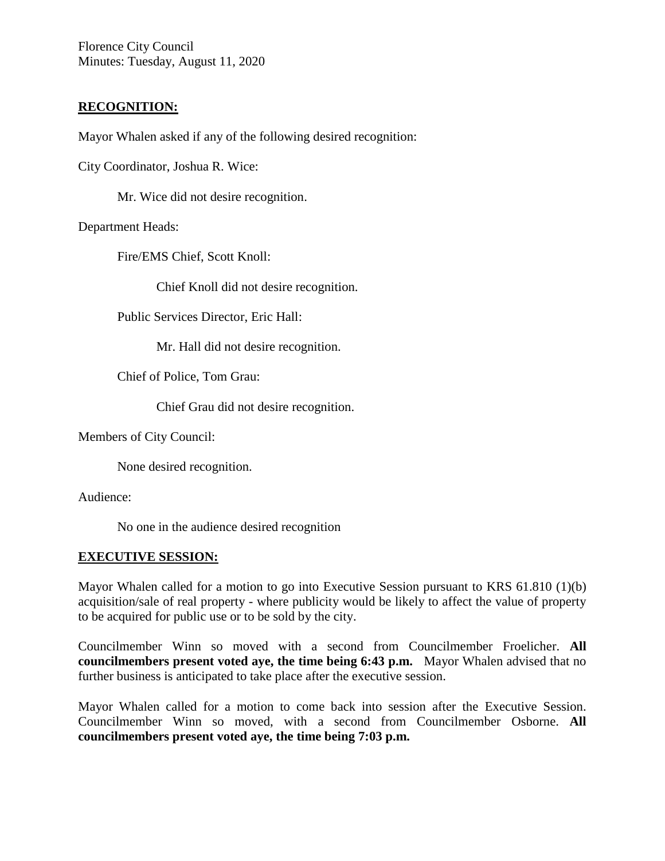#### **RECOGNITION:**

Mayor Whalen asked if any of the following desired recognition:

City Coordinator, Joshua R. Wice:

Mr. Wice did not desire recognition.

Department Heads:

Fire/EMS Chief, Scott Knoll:

Chief Knoll did not desire recognition.

Public Services Director, Eric Hall:

Mr. Hall did not desire recognition.

Chief of Police, Tom Grau:

Chief Grau did not desire recognition.

Members of City Council:

None desired recognition.

Audience:

No one in the audience desired recognition

#### **EXECUTIVE SESSION:**

Mayor Whalen called for a motion to go into Executive Session pursuant to KRS 61.810 (1)(b) acquisition/sale of real property - where publicity would be likely to affect the value of property to be acquired for public use or to be sold by the city.

Councilmember Winn so moved with a second from Councilmember Froelicher. **All councilmembers present voted aye, the time being 6:43 p.m.** Mayor Whalen advised that no further business is anticipated to take place after the executive session.

Mayor Whalen called for a motion to come back into session after the Executive Session. Councilmember Winn so moved, with a second from Councilmember Osborne. **All councilmembers present voted aye, the time being 7:03 p.m.**